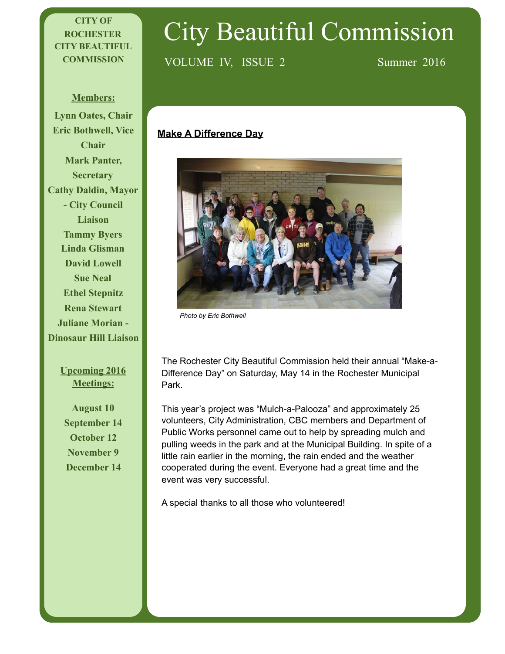#### **CITY OF ROCHESTER CITY BEAUTIFUL COMMISSION**

# City Beautiful Commission

VOLUME IV, ISSUE 2 Summer 2016

#### **Members:**

**Lynn Oates, Chair Eric Bothwell, Vice Chair Mark Panter, Secretary Cathy Daldin, Mayor - City Council Liaison Tammy Byers Linda Glisman David Lowell Sue Neal Ethel Stepnitz Rena Stewart Juliane Morian - Dinosaur Hill Liaison** 

#### **Upcoming 2016 Meetings:**

**August 10 September 14 October 12 November 9 December 14** 

#### **Make A Difference Day**



*Photo by Eric Bothwell* 

The Rochester City Beautiful Commission held their annual "Make-a-Difference Day" on Saturday, May 14 in the Rochester Municipal Park.

This year's project was "Mulch-a-Palooza" and approximately 25 volunteers, City Administration, CBC members and Department of Public Works personnel came out to help by spreading mulch and pulling weeds in the park and at the Municipal Building. In spite of a little rain earlier in the morning, the rain ended and the weather cooperated during the event. Everyone had a great time and the event was very successful.

A special thanks to all those who volunteered!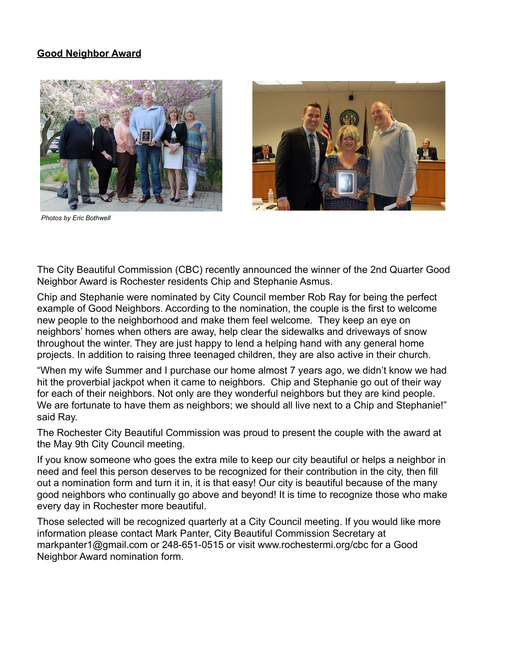#### **Good Neighbor Award**







The City Beautiful Commission (CBC) recently announced the winner of the 2nd Quarter Good Neighbor Award is Rochester residents Chip and Stephanie Asmus.

Chip and Stephanie were nominated by City Council member Rob Ray for being the perfect example of Good Neighbors. According to the nomination, the couple is the first to welcome new people to the neighborhood and make them feel welcome. They keep an eye on neighbors' homes when others are away, help clear the sidewalks and driveways of snow throughout the winter. They are just happy to lend a helping hand with any general home projects. In addition to raising three teenaged children, they are also active in their church.

"When my wife Summer and I purchase our home almost 7 years ago, we didn't know we had hit the proverbial jackpot when it came to neighbors. Chip and Stephanie go out of their way for each of their neighbors. Not only are they wonderful neighbors but they are kind people. We are fortunate to have them as neighbors; we should all live next to a Chip and Stephanie!" said Ray.

The Rochester City Beautiful Commission was proud to present the couple with the award at the May 9th City Council meeting.

If you know someone who goes the extra mile to keep our city beautiful or helps a neighbor in need and feel this person deserves to be recognized for their contribution in the city, then fill out a nomination form and turn it in, it is that easy! Our city is beautiful because of the many good neighbors who continually go above and beyond! It is time to recognize those who make every day in Rochester more beautiful.

Those selected will be recognized quarterly at a City Council meeting. If you would like more information please contact Mark Panter, City Beautiful Commission Secretary at markpanter1@gmail.com or 248-651-0515 or visit www.rochestermi.org/cbc for a Good Neighbor Award nomination form.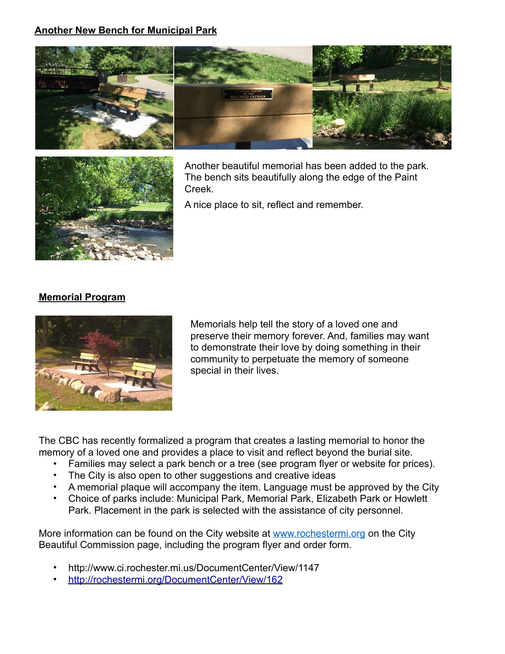### **Another New Bench for Municipal Park**







Another beautiful memorial has been added to the park. The bench sits beautifully along the edge of the Paint Creek.

A nice place to sit, reflect and remember.

#### **Memorial Program**



Memorials help tell the story of a loved one and preserve their memory forever. And, families may want to demonstrate their love by doing something in their community to perpetuate the memory of someone special in their lives.

The CBC has recently formalized a program that creates a lasting memorial to honor the memory of a loved one and provides a place to visit and reflect beyond the burial site.

- Families may select a park bench or a tree (see program flyer or website for prices).
- The City is also open to other suggestions and creative ideas
- A memorial plaque will accompany the item. Language must be approved by the City
- Choice of parks include: Municipal Park, Memorial Park, Elizabeth Park or Howlett Park. Placement in the park is selected with the assistance of city personnel.

More information can be found on the City website at [www.rochestermi.org](http://www.rochestermi.org) on the City Beautiful Commission page, including the program flyer and order form.

- http://www.ci.rochester.mi.us/DocumentCenter/View/1147
- <http://rochestermi.org/DocumentCenter/View/162>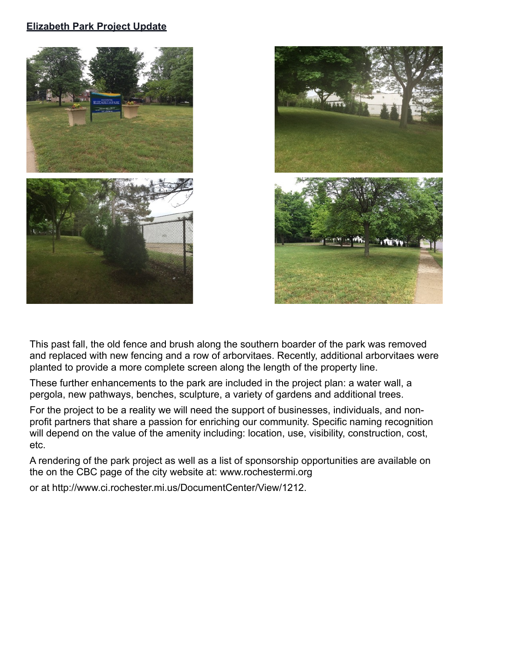#### **Elizabeth Park Project Update**





This past fall, the old fence and brush along the southern boarder of the park was removed and replaced with new fencing and a row of arborvitaes. Recently, additional arborvitaes were planted to provide a more complete screen along the length of the property line.

These further enhancements to the park are included in the project plan: a water wall, a pergola, new pathways, benches, sculpture, a variety of gardens and additional trees.

For the project to be a reality we will need the support of businesses, individuals, and nonprofit partners that share a passion for enriching our community. Specific naming recognition will depend on the value of the amenity including: location, use, visibility, construction, cost, etc.

A rendering of the park project as well as a list of sponsorship opportunities are available on the on the CBC page of the city website at: www.rochestermi.org

or at http://www.ci.rochester.mi.us/DocumentCenter/View/1212.